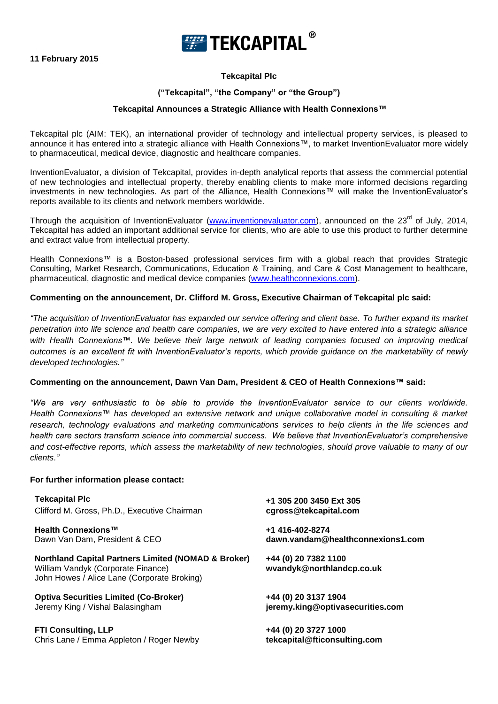

## **Tekcapital Plc**

### **("Tekcapital", "the Company" or "the Group")**

#### **Tekcapital Announces a Strategic Alliance with Health Connexions™**

Tekcapital plc (AIM: TEK), an international provider of technology and intellectual property services, is pleased to announce it has entered into a strategic alliance with Health Connexions™, to market InventionEvaluator more widely to pharmaceutical, medical device, diagnostic and healthcare companies.

InventionEvaluator, a division of Tekcapital, provides in-depth analytical reports that assess the commercial potential of new technologies and intellectual property, thereby enabling clients to make more informed decisions regarding investments in new technologies. As part of the Alliance, Health Connexions*™* will make the InventionEvaluator's reports available to its clients and network members worldwide.

Through the acquisition of InventionEvaluator [\(www.inventionevaluator.com\)](http://www.inventionevaluator.com/), announced on the 23<sup>rd</sup> of July, 2014, Tekcapital has added an important additional service for clients, who are able to use this product to further determine and extract value from intellectual property.

Health Connexions™ is a Boston-based professional services firm with a global reach that provides Strategic Consulting, Market Research, Communications, Education & Training, and Care & Cost Management to healthcare, pharmaceutical, diagnostic and medical device companies [\(www.healthconnexions.com\)](http://www.healthconnexions.com/).

#### **Commenting on the announcement, Dr. Clifford M. Gross, Executive Chairman of Tekcapital plc said:**

*"The acquisition of InventionEvaluator has expanded our service offering and client base. To further expand its market penetration into life science and health care companies, we are very excited to have entered into a strategic alliance with Health Connexions™. We believe their large network of leading companies focused on improving medical outcomes is an excellent fit with InventionEvaluator's reports, which provide guidance on the marketability of newly developed technologies."*

#### **Commenting on the announcement, Dawn Van Dam, President & CEO of Health Connexions™ said:**

*"We are very enthusiastic to be able to provide the InventionEvaluator service to our clients worldwide. Health Connexions™ has developed an extensive network and unique collaborative model in consulting & market*  research, technology evaluations and marketing communications services to help clients in the life sciences and *health care sectors transform science into commercial success. We believe that InventionEvaluator's comprehensive and cost-effective reports, which assess the marketability of new technologies, should prove valuable to many of our clients."*

#### **For further information please contact:**

| <b>Tekcapital Plc</b>                                                                                                                               | +1 305 200 3450 Ext 305                           |
|-----------------------------------------------------------------------------------------------------------------------------------------------------|---------------------------------------------------|
| Clifford M. Gross, Ph.D., Executive Chairman                                                                                                        | cgross@tekcapital.com                             |
| Health Connexions™                                                                                                                                  | +1 416-402-8274                                   |
| Dawn Van Dam, President & CEO                                                                                                                       | dawn.vandam@healthconnexions1.com                 |
| <b>Northland Capital Partners Limited (NOMAD &amp; Broker)</b><br>William Vandyk (Corporate Finance)<br>John Howes / Alice Lane (Corporate Broking) | +44 (0) 20 7382 1100<br>wvandyk@northlandcp.co.uk |
| <b>Optiva Securities Limited (Co-Broker)</b>                                                                                                        | +44 (0) 20 3137 1904                              |
| Jeremy King / Vishal Balasingham                                                                                                                    | jeremy.king@optivasecurities.com                  |
| <b>FTI Consulting, LLP</b>                                                                                                                          | +44 (0) 20 3727 1000                              |
| Chris Lane / Emma Appleton / Roger Newby                                                                                                            | tekcapital@fticonsulting.com                      |